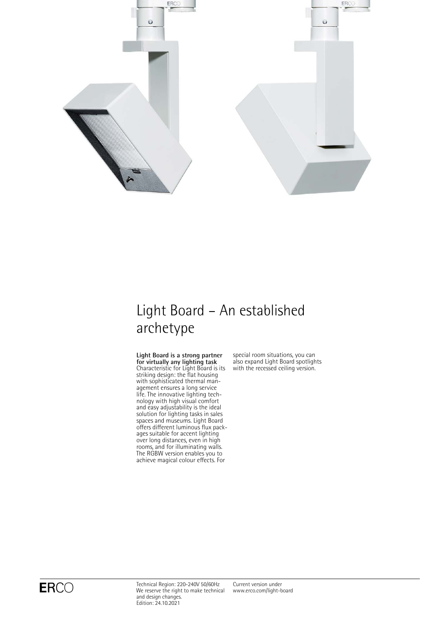

# Light Board – An established archetype

**Light Board is a strong partner for virtually any lighting task** Characteristic for Light Board is its striking design: the flat housing with sophisticated thermal management ensures a long service life. The innovative lighting technology with high visual comfort and easy adjustability is the ideal solution for lighting tasks in sales spaces and museums. Light Board offers different luminous flux packages suitable for accent lighting over long distances, even in high rooms, and for illuminating walls. The RGBW version enables you to achieve magical colour effects. For

special room situations, you can also expand Light Board spotlights with the recessed ceiling version.

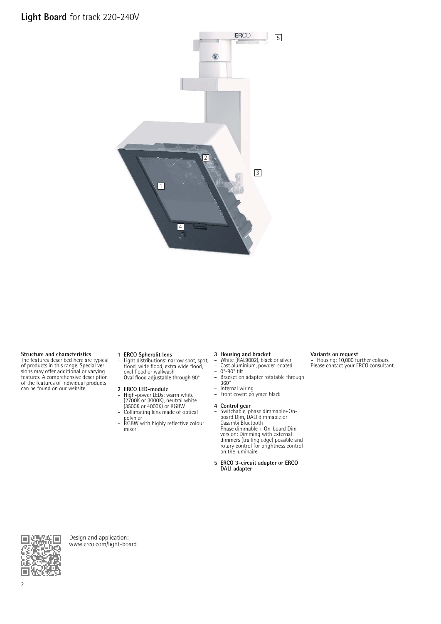**Light Board** for track 220-240V



#### **Structure and characteristics**

The features described here are typical of products in this range. Special ver-sions may offer additional or varying features. A comprehensive description of the features of individual products can be found on our website.

- **1 ERCO Spherolit lens**<br>
 Light distributions: narrow spot, spot,<br>
flood, wide flood, extra wide flood,<br>
oval flood or wallwash – Oval flood adjustable through 90°
- **2 ERCO LED-module**
- High-power LEDs: warm white (2700K or 3000K), neutral white (3500K or 4000K) or RGBW Collimating lens made of optical
- polymer – RGBW with highly reflective colour mixer

- **3 Housing and bracket** White (RAL9002), black or silver
- Cast aluminium, powder-coated<br>– 0°-90° tilt
- 0°-90° tilt – Bracket on adapter rotatable through 360°

**Variants on request** – Housing: 10,000 further colours Please contact your ERCO consultant.

 $-$  Internal wiring<br> $-$  Front cover: no

# – Front cover: polymer, black

- **4 Control gear** Switchable, phase dimmable+On-board Dim, DALI dimmable or
- Casambi Bluetooth Phase dimmable + On-board Dim version: Dimming with external dimmers (trailing edge) possible and rotary control for brightness control on the luminaire
- **5 ERCO 3-circuit adapter or ERCO DALI adapter**



Design and application: [www.erco.com/light-board](http://www.erco.com/light-board)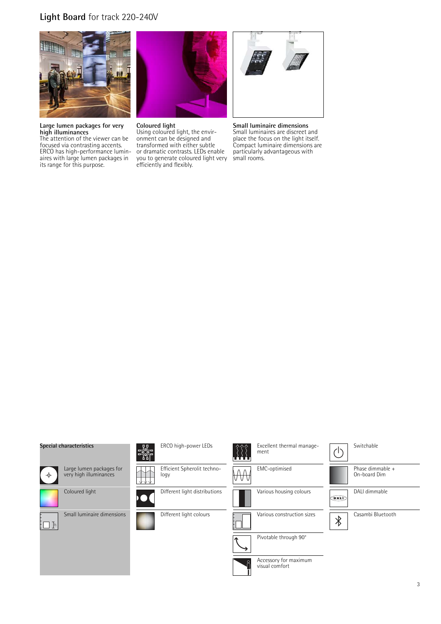# **Light Board** for track 220-240V



**Large lumen packages for very high illuminances**

The attention of the viewer can be focused via contrasting accents. ERCO has high-performance luminaires with large lumen packages in its range for this purpose.



**Coloured light**

Using coloured light, the environment can be designed and transformed with either subtle or dramatic contrasts. LEDs enable you to generate coloured light very efficiently and flexibly.



**Small luminaire dimensions**

Small luminaires are discreet and place the focus on the light itself. Compact luminaire dimensions are particularly advantageous with small rooms.

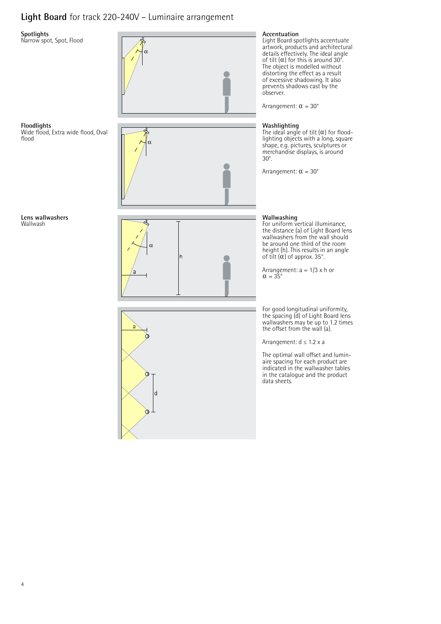# **Light Board** for track 220-240V – Luminaire arrangement

### **Spotlights**

Narrow spot, Spot, Flood

![](_page_3_Figure_3.jpeg)

**Floodlights** Wide flood, Extra wide flood, Oval flood

**Lens wallwashers** Wallwash

![](_page_3_Picture_7.jpeg)

![](_page_3_Figure_8.jpeg)

### **Accentuation**

Light Board spotlights accentuate artwork, products and architectural details effectively. The ideal angle of tilt  $(\alpha)$  for this is around 30°. The object is modelled without distorting the effect as a result of excessive shadowing. It also prevents shadows cast by the observer.

Arrangement:  $\alpha = 30^{\circ}$ 

### **Washlighting**

The ideal angle of tilt  $(\alpha)$  for floodlighting objects with a long, square shape, e.g. pictures, sculptures or merchandise displays, is around 30°.

Arrangement:  $\alpha = 30^\circ$ 

### **Wallwashing**

For uniform vertical illuminance, the distance (a) of Light Board lens wallwashers from the wall should be around one third of the room height (h). This results in an angle<br>of tilt (α) of approx. 35°.

Arrangement:  $a = 1/3 \times h$  or  $\alpha = 35^{\circ}$ 

For good longitudinal uniformity, the spacing (d) of Light Board lens wallwashers may be up to 1.2 times the offset from the wall (a).

Arrangement: d ≤ 1.2 x a

The optimal wall offset and luminaire spacing for each product are indicated in the wallwasher tables in the catalogue and the product data sheets.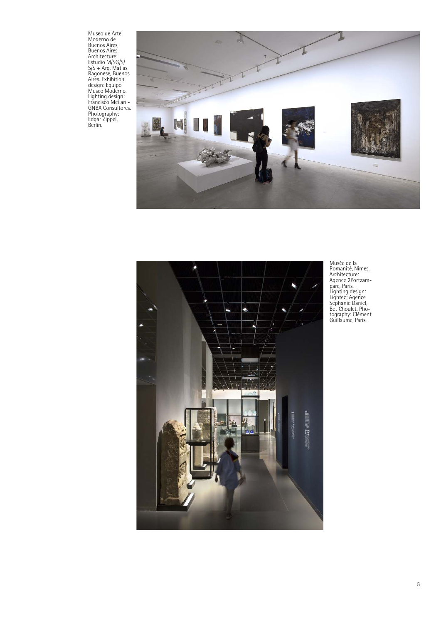Museo de Arte<br>Moderno de<br>Buenos Aires,<br>Buenos Aires,<br>Architecture:<br>Estudio M/SG/S/<br>SS + Arq. Matias<br>Ragonese, Buenos<br>Aires. Exhibition<br>design: Equipo<br>Lighting design:<br>Francisco Meilan –<br>GNBA Consultores.<br>Photography:<br>Edgar

![](_page_4_Picture_1.jpeg)

![](_page_4_Picture_2.jpeg)

Musée de la Romanité, Nîmes. Architecture: Agence 2Portzam-parc, Paris. Lighting design: Lightec; Agence Sephanie Daniel, Bet Choulet. Pho-tography: Clément Guillaume, Paris.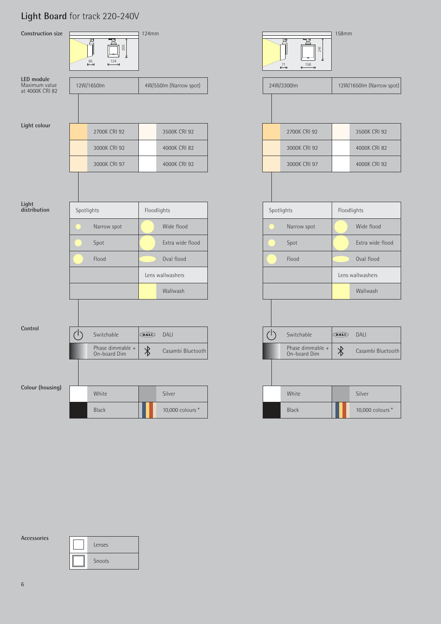# **Light Board** for track 220-240V

![](_page_5_Figure_1.jpeg)

**Accessories**

| Lenses |
|--------|
| Snoots |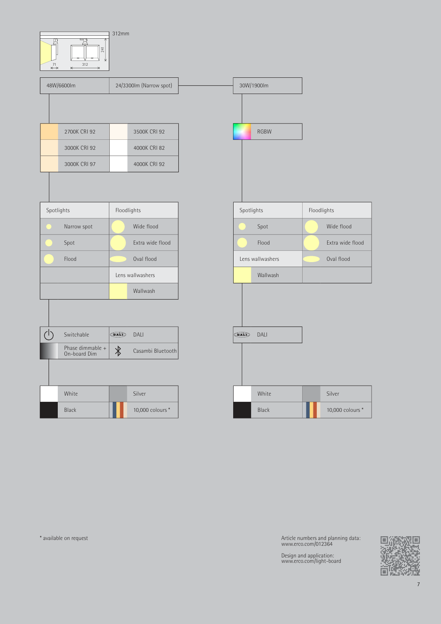![](_page_6_Figure_0.jpeg)

\* available on request

Article numbers and planning data: www.erco.com/012364

Design and application: www.erco.com/light-board

![](_page_6_Picture_4.jpeg)